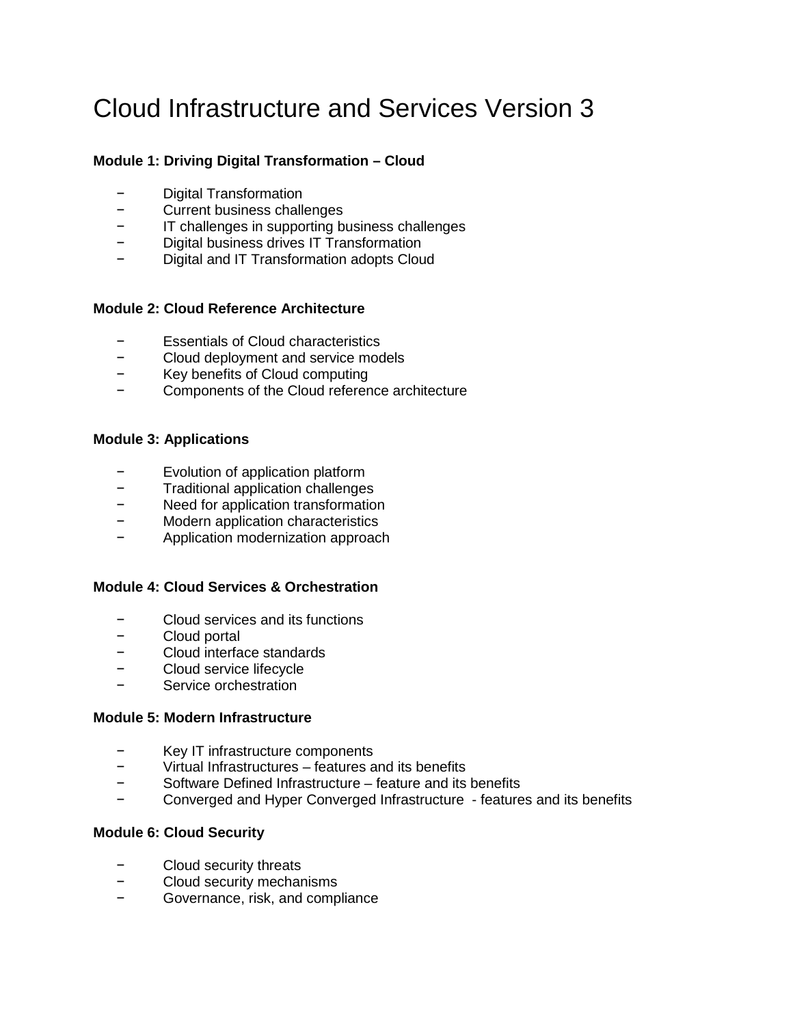# Cloud Infrastructure and Services Version 3

# **Module 1: Driving Digital Transformation – Cloud**

- − Digital Transformation
- − Current business challenges
- IT challenges in supporting business challenges
- − Digital business drives IT Transformation
- − Digital and IT Transformation adopts Cloud

# **Module 2: Cloud Reference Architecture**

- − Essentials of Cloud characteristics
- − Cloud deployment and service models
- − Key benefits of Cloud computing
- − Components of the Cloud reference architecture

## **Module 3: Applications**

- Evolution of application platform
- − Traditional application challenges
- − Need for application transformation
- − Modern application characteristics
- − Application modernization approach

## **Module 4: Cloud Services & Orchestration**

- − Cloud services and its functions
- − Cloud portal
- − Cloud interface standards
- − Cloud service lifecycle
- Service orchestration

#### **Module 5: Modern Infrastructure**

- − Key IT infrastructure components
- − Virtual Infrastructures features and its benefits
- − Software Defined Infrastructure feature and its benefits
- − Converged and Hyper Converged Infrastructure features and its benefits

## **Module 6: Cloud Security**

- − Cloud security threats
- − Cloud security mechanisms
- − Governance, risk, and compliance